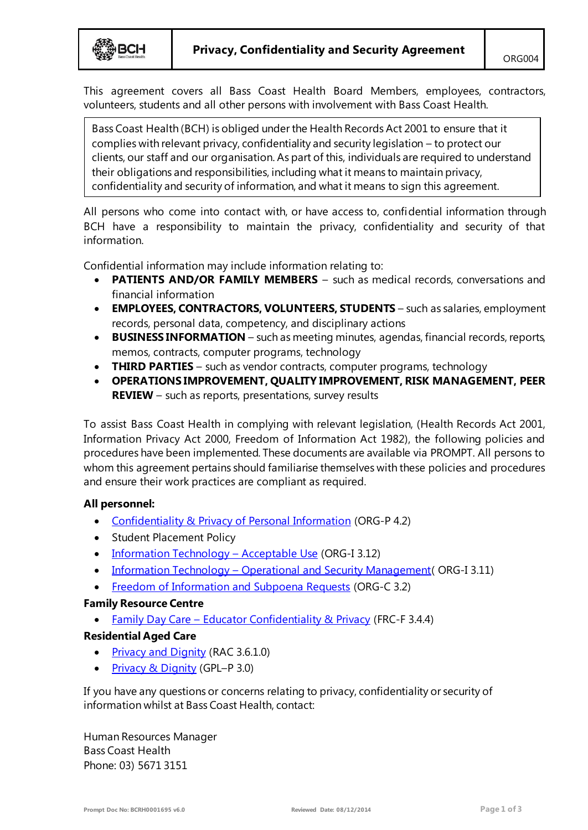This agreement covers all Bass Coast Health Board Members, employees, contractors, volunteers, students and all other persons with involvement with Bass Coast Health.

Bass Coast Health (BCH) is obliged under the Health Records Act 2001 to ensure that it complies with relevant privacy, confidentiality and security legislation – to protect our clients, our staff and our organisation. As part of this, individuals are required to understand their obligations and responsibilities, including what it means to maintain privacy, confidentiality and security of information, and what it means to sign this agreement.

All persons who come into contact with, or have access to, confidential information through BCH have a responsibility to maintain the privacy, confidentiality and security of that information.

Confidential information may include information relating to:

- **PATIENTS AND/OR FAMILY MEMBERS** such as medical records, conversations and financial information
- **EMPLOYEES, CONTRACTORS, VOLUNTEERS, STUDENTS** such as salaries, employment records, personal data, competency, and disciplinary actions
- **BUSINESS INFORMATION** such as meeting minutes, agendas, financial records, reports, memos, contracts, computer programs, technology
- **THIRD PARTIES** such as vendor contracts, computer programs, technology
- **OPERATIONS IMPROVEMENT, QUALITY IMPROVEMENT, RISK MANAGEMENT, PEER REVIEW** – such as reports, presentations, survey results

To assist Bass Coast Health in complying with relevant legislation, (Health Records Act 2001, Information Privacy Act 2000, Freedom of Information Act 1982), the following policies and procedures have been implemented. These documents are available via PROMPT. All persons to whom this agreement pertains should familiarise themselves with these policies and procedures and ensure their work practices are compliant as required.

# **All personnel:**

- [Confidentiality & Privacy of Personal Information](http://system.prompt.org.au/Download/Document.aspx?id=11678183&code=C517FE67C5493E1B420F83DFD2C47A7E) (ORG-P 4.2)
- Student Placement Policy
- [Information Technology](http://system.prompt.org.au/download/document.aspx?id=2838689&code=2BA831433D23CA7D7BC835AC0B5FF5A1)  Acceptable Use (ORG-I 3.12)
- Information Technology [Operational and Security Managemen](http://system.prompt.org.au/download/document.aspx?id=2838729&code=DEB46BC162E4CCF8C137F226D8EE62E0)t (ORG-I 3.11)
- [Freedom of Information and Subpoena Requests](http://system.prompt.org.au/download/document.aspx?id=6758571&code=054BE9B7ED42D37E9BD16F9DFD01FE11) (ORG-C 3.2)

# **Family Resource Centre**

• Family Day Care – [Educator Confidentiality & Privacy](http://system.prompt.org.au/download/document.aspx?id=5962632&code=CFD5B3536C85204B079870D22F6D97C8) (FRC-F 3.4.4)

# **Residential Aged Care**

- [Privacy and Dignity](http://system.prompt.org.au/download/document.aspx?id=4762767&code=98C88F67522ED596D6E1E72E534DBBB4) (RAC 3.6.1.0)
- [Privacy & Dignity](http://system.prompt.org.au/download/document.aspx?id=6508969&code=B0C9109FE329898839D2CE9038324E55) (GPL–P 3.0)

If you have any questions or concerns relating to privacy, confidentiality or security of information whilst at Bass Coast Health, contact:

Human Resources Manager Bass Coast Health Phone: 03) 5671 3151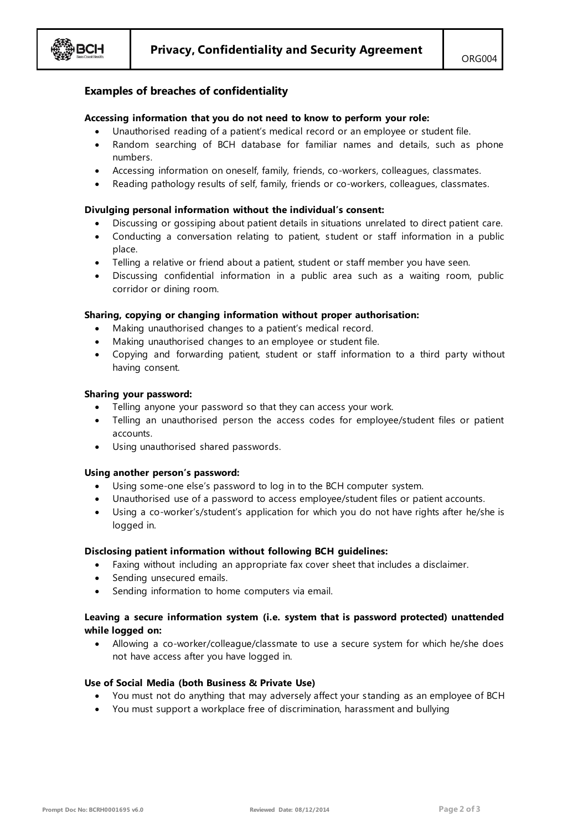

## **Examples of breaches of confidentiality**

### **Accessing information that you do not need to know to perform your role:**

- Unauthorised reading of a patient's medical record or an employee or student file.
- Random searching of BCH database for familiar names and details, such as phone numbers.
- Accessing information on oneself, family, friends, co-workers, colleagues, classmates.
- Reading pathology results of self, family, friends or co-workers, colleagues, classmates.

#### **Divulging personal information without the individual's consent:**

- Discussing or gossiping about patient details in situations unrelated to direct patient care.
- Conducting a conversation relating to patient, student or staff information in a public place.
- Telling a relative or friend about a patient, student or staff member you have seen.
- Discussing confidential information in a public area such as a waiting room, public corridor or dining room.

### **Sharing, copying or changing information without proper authorisation:**

- Making unauthorised changes to a patient's medical record.
- Making unauthorised changes to an employee or student file.
- Copying and forwarding patient, student or staff information to a third party without having consent.

#### **Sharing your password:**

- Telling anyone your password so that they can access your work.
- Telling an unauthorised person the access codes for employee/student files or patient accounts.
- Using unauthorised shared passwords.

#### **Using another person's password:**

- Using some-one else's password to log in to the BCH computer system.
- Unauthorised use of a password to access employee/student files or patient accounts.
- Using a co-worker's/student's application for which you do not have rights after he/she is logged in.

#### **Disclosing patient information without following BCH guidelines:**

- Faxing without including an appropriate fax cover sheet that includes a disclaimer.
- Sending unsecured emails.
- Sending information to home computers via email.

## **Leaving a secure information system (i.e. system that is password protected) unattended while logged on:**

 Allowing a co-worker/colleague/classmate to use a secure system for which he/she does not have access after you have logged in.

#### **Use of Social Media (both Business & Private Use)**

- You must not do anything that may adversely affect your standing as an employee of BCH
- You must support a workplace free of discrimination, harassment and bullying